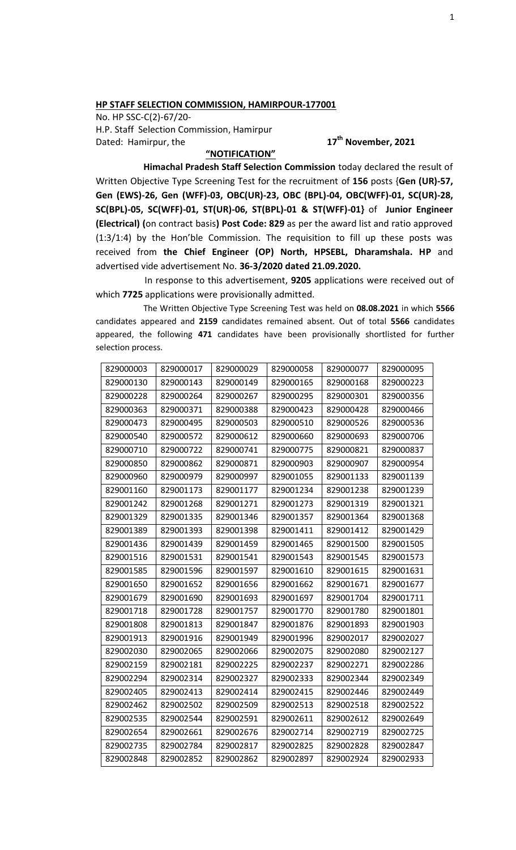## **HP STAFF SELECTION COMMISSION, HAMIRPOUR-177001**

No. HP SSC-C(2)-67/20- H.P. Staff Selection Commission, Hamirpur Dated: Hamirpur, the

## **th November, 2021**

## **"NOTIFICATION"**

**Himachal Pradesh Staff Selection Commission** today declared the result of Written Objective Type Screening Test for the recruitment of **156** posts {**Gen (UR)-57, Gen (EWS)-26, Gen (WFF)-03, OBC(UR)-23, OBC (BPL)-04, OBC(WFF)-01, SC(UR)-28, SC(BPL)-05, SC(WFF)-01, ST(UR)-06, ST(BPL)-01 & ST(WFF)-01}** of **Junior Engineer (Electrical) (**on contract basis**) Post Code: 829** as per the award list and ratio approved (1:3/1:4) by the Hon'ble Commission. The requisition to fill up these posts was received from **the Chief Engineer (OP) North, HPSEBL, Dharamshala. HP** and advertised vide advertisement No. **36-3/2020 dated 21.09.2020.**

In response to this advertisement, **9205** applications were received out of which **7725** applications were provisionally admitted.

The Written Objective Type Screening Test was held on **08.08.2021** in which **5566** candidates appeared and **2159** candidates remained absent. Out of total **5566** candidates appeared, the following **471** candidates have been provisionally shortlisted for further selection process.

| 829000003 | 829000017 | 829000029 | 829000058 | 829000077 | 829000095 |
|-----------|-----------|-----------|-----------|-----------|-----------|
| 829000130 | 829000143 | 829000149 | 829000165 | 829000168 | 829000223 |
| 829000228 | 829000264 | 829000267 | 829000295 | 829000301 | 829000356 |
| 829000363 | 829000371 | 829000388 | 829000423 | 829000428 | 829000466 |
| 829000473 | 829000495 | 829000503 | 829000510 | 829000526 | 829000536 |
| 829000540 | 829000572 | 829000612 | 829000660 | 829000693 | 829000706 |
| 829000710 | 829000722 | 829000741 | 829000775 | 829000821 | 829000837 |
| 829000850 | 829000862 | 829000871 | 829000903 | 829000907 | 829000954 |
| 829000960 | 829000979 | 829000997 | 829001055 | 829001133 | 829001139 |
| 829001160 | 829001173 | 829001177 | 829001234 | 829001238 | 829001239 |
| 829001242 | 829001268 | 829001271 | 829001273 | 829001319 | 829001321 |
| 829001329 | 829001335 | 829001346 | 829001357 | 829001364 | 829001368 |
| 829001389 | 829001393 | 829001398 | 829001411 | 829001412 | 829001429 |
| 829001436 | 829001439 | 829001459 | 829001465 | 829001500 | 829001505 |
| 829001516 | 829001531 | 829001541 | 829001543 | 829001545 | 829001573 |
| 829001585 | 829001596 | 829001597 | 829001610 | 829001615 | 829001631 |
| 829001650 | 829001652 | 829001656 | 829001662 | 829001671 | 829001677 |
| 829001679 | 829001690 | 829001693 | 829001697 | 829001704 | 829001711 |
| 829001718 | 829001728 | 829001757 | 829001770 | 829001780 | 829001801 |
| 829001808 | 829001813 | 829001847 | 829001876 | 829001893 | 829001903 |
| 829001913 | 829001916 | 829001949 | 829001996 | 829002017 | 829002027 |
| 829002030 | 829002065 | 829002066 | 829002075 | 829002080 | 829002127 |
| 829002159 | 829002181 | 829002225 | 829002237 | 829002271 | 829002286 |
| 829002294 | 829002314 | 829002327 | 829002333 | 829002344 | 829002349 |
| 829002405 | 829002413 | 829002414 | 829002415 | 829002446 | 829002449 |
| 829002462 | 829002502 | 829002509 | 829002513 | 829002518 | 829002522 |
| 829002535 | 829002544 | 829002591 | 829002611 | 829002612 | 829002649 |
| 829002654 | 829002661 | 829002676 | 829002714 | 829002719 | 829002725 |
| 829002735 | 829002784 | 829002817 | 829002825 | 829002828 | 829002847 |
| 829002848 | 829002852 | 829002862 | 829002897 | 829002924 | 829002933 |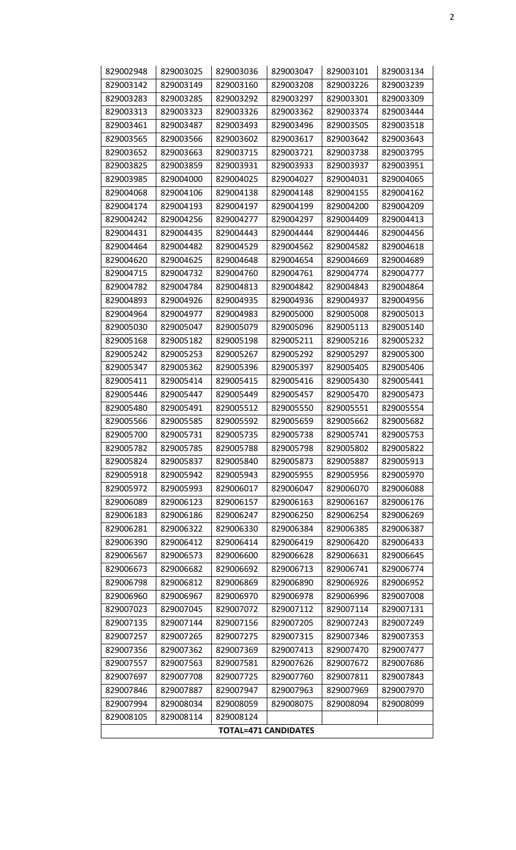| 829002948                   | 829003025 | 829003036 | 829003047 | 829003101 | 829003134 |  |  |  |
|-----------------------------|-----------|-----------|-----------|-----------|-----------|--|--|--|
| 829003142                   | 829003149 | 829003160 | 829003208 | 829003226 | 829003239 |  |  |  |
| 829003283                   | 829003285 | 829003292 | 829003297 | 829003301 | 829003309 |  |  |  |
| 829003313                   | 829003323 | 829003326 | 829003362 | 829003374 | 829003444 |  |  |  |
| 829003461                   | 829003487 | 829003493 | 829003496 | 829003505 | 829003518 |  |  |  |
| 829003565                   | 829003566 | 829003602 | 829003617 | 829003642 | 829003643 |  |  |  |
| 829003652                   | 829003663 | 829003715 | 829003721 | 829003738 | 829003795 |  |  |  |
| 829003825                   | 829003859 | 829003931 | 829003933 | 829003937 | 829003951 |  |  |  |
| 829003985                   | 829004000 | 829004025 | 829004027 | 829004031 | 829004065 |  |  |  |
| 829004068                   | 829004106 | 829004138 | 829004148 | 829004155 | 829004162 |  |  |  |
| 829004174                   | 829004193 | 829004197 | 829004199 | 829004200 | 829004209 |  |  |  |
| 829004242                   | 829004256 | 829004277 | 829004297 | 829004409 | 829004413 |  |  |  |
| 829004431                   | 829004435 | 829004443 | 829004444 | 829004446 | 829004456 |  |  |  |
| 829004464                   | 829004482 | 829004529 | 829004562 | 829004582 | 829004618 |  |  |  |
| 829004620                   | 829004625 | 829004648 | 829004654 | 829004669 | 829004689 |  |  |  |
| 829004715                   | 829004732 | 829004760 | 829004761 | 829004774 | 829004777 |  |  |  |
| 829004782                   | 829004784 | 829004813 | 829004842 | 829004843 | 829004864 |  |  |  |
| 829004893                   | 829004926 | 829004935 | 829004936 | 829004937 | 829004956 |  |  |  |
| 829004964                   | 829004977 | 829004983 | 829005000 | 829005008 | 829005013 |  |  |  |
| 829005030                   | 829005047 | 829005079 | 829005096 | 829005113 | 829005140 |  |  |  |
| 829005168                   | 829005182 | 829005198 | 829005211 | 829005216 | 829005232 |  |  |  |
| 829005242                   | 829005253 | 829005267 | 829005292 | 829005297 | 829005300 |  |  |  |
| 829005347                   | 829005362 | 829005396 | 829005397 | 829005405 | 829005406 |  |  |  |
| 829005411                   | 829005414 | 829005415 | 829005416 | 829005430 | 829005441 |  |  |  |
| 829005446                   | 829005447 | 829005449 | 829005457 | 829005470 | 829005473 |  |  |  |
| 829005480                   | 829005491 | 829005512 | 829005550 | 829005551 | 829005554 |  |  |  |
| 829005566                   | 829005585 | 829005592 | 829005659 | 829005662 | 829005682 |  |  |  |
| 829005700                   | 829005731 | 829005735 | 829005738 | 829005741 | 829005753 |  |  |  |
| 829005782                   | 829005785 | 829005788 | 829005798 | 829005802 | 829005822 |  |  |  |
| 829005824                   | 829005837 | 829005840 | 829005873 | 829005887 | 829005913 |  |  |  |
| 829005918                   | 829005942 | 829005943 | 829005955 | 829005956 | 829005970 |  |  |  |
| 829005972                   | 829005993 | 829006017 | 829006047 | 829006070 | 829006088 |  |  |  |
| 829006089                   | 829006123 | 829006157 | 829006163 | 829006167 | 829006176 |  |  |  |
| 829006183                   | 829006186 | 829006247 | 829006250 | 829006254 | 829006269 |  |  |  |
| 829006281                   | 829006322 | 829006330 | 829006384 | 829006385 | 829006387 |  |  |  |
| 829006390                   | 829006412 | 829006414 | 829006419 | 829006420 | 829006433 |  |  |  |
| 829006567                   | 829006573 | 829006600 | 829006628 | 829006631 | 829006645 |  |  |  |
| 829006673                   | 829006682 | 829006692 | 829006713 | 829006741 | 829006774 |  |  |  |
| 829006798                   | 829006812 | 829006869 | 829006890 | 829006926 | 829006952 |  |  |  |
| 829006960                   | 829006967 | 829006970 | 829006978 | 829006996 | 829007008 |  |  |  |
| 829007023                   | 829007045 | 829007072 | 829007112 | 829007114 | 829007131 |  |  |  |
| 829007135                   | 829007144 | 829007156 | 829007205 | 829007243 | 829007249 |  |  |  |
| 829007257                   | 829007265 | 829007275 | 829007315 | 829007346 | 829007353 |  |  |  |
| 829007356                   | 829007362 | 829007369 | 829007413 | 829007470 | 829007477 |  |  |  |
| 829007557                   | 829007563 | 829007581 | 829007626 | 829007672 | 829007686 |  |  |  |
| 829007697                   | 829007708 | 829007725 | 829007760 | 829007811 | 829007843 |  |  |  |
| 829007846                   | 829007887 | 829007947 | 829007963 | 829007969 | 829007970 |  |  |  |
| 829007994                   | 829008034 | 829008059 | 829008075 | 829008094 | 829008099 |  |  |  |
| 829008105                   | 829008114 | 829008124 |           |           |           |  |  |  |
| <b>TOTAL=471 CANDIDATES</b> |           |           |           |           |           |  |  |  |